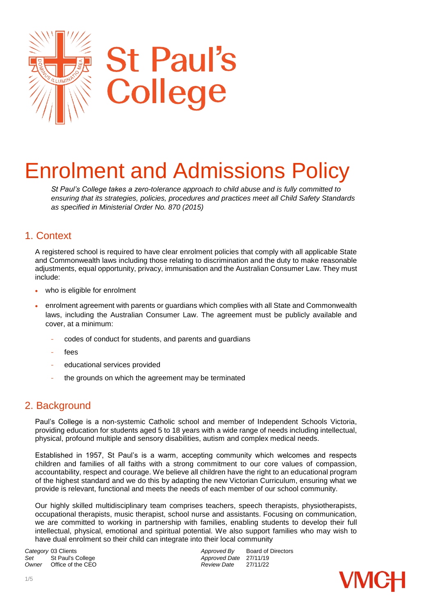

# Enrolment and Admissions Policy

*St Paul's College takes a zero-tolerance approach to child abuse and is fully committed to ensuring that its strategies, policies, procedures and practices meet all Child Safety Standards as specified in Ministerial Order No. 870 (2015)* 

#### 1. Context

A registered school is required to have clear enrolment policies that comply with all applicable State and Commonwealth laws including those relating to discrimination and the duty to make reasonable adjustments, equal opportunity, privacy, immunisation and the Australian Consumer Law. They must include:

- who is eligible for enrolment
- enrolment agreement with parents or guardians which complies with all State and Commonwealth laws, including the Australian Consumer Law. The agreement must be publicly available and cover, at a minimum:
	- codes of conduct for students, and parents and guardians
	- fees
	- educational services provided
	- the grounds on which the agreement may be terminated

### 2. Background

Paul's College is a non-systemic Catholic school and member of Independent Schools Victoria, providing education for students aged 5 to 18 years with a wide range of needs including intellectual, physical, profound multiple and sensory disabilities, autism and complex medical needs.

Established in 1957, St Paul's is a warm, accepting community which welcomes and respects children and families of all faiths with a strong commitment to our core values of compassion, accountability, respect and courage. We believe all children have the right to an educational program of the highest standard and we do this by adapting the new Victorian Curriculum, ensuring what we provide is relevant, functional and meets the needs of each member of our school community.

Our highly skilled multidisciplinary team comprises teachers, speech therapists, physiotherapists, occupational therapists, music therapist, school nurse and assistants. Focusing on communication, we are committed to working in partnership with families, enabling students to develop their full intellectual, physical, emotional and spiritual potential. We also support families who may wish to have dual enrolment so their child can integrate into their local community

Set St Paul's College *Set* **Approved Date** 27/11/19<br>
Owner Office of the CEO **Approved Date** 27/11/22 *Office of the CEO* 

**Category** 03 Clients *Category* 03 Clients *Approved By* Board of Directors *Set* St Paul's College *Approved Date 27/11/19* 

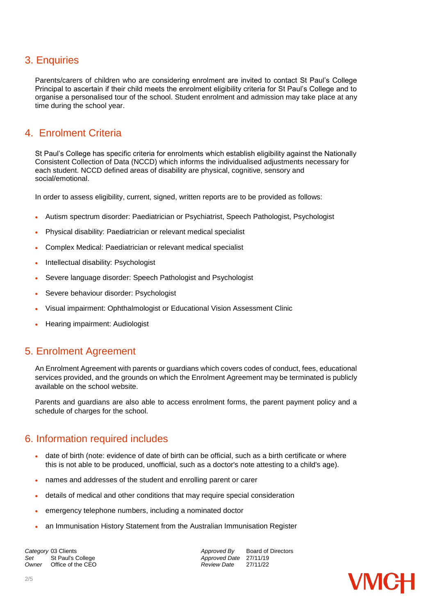# 3. Enquiries

Parents/carers of children who are considering enrolment are invited to contact St Paul's College Principal to ascertain if their child meets the enrolment eligibility criteria for St Paul's College and to organise a personalised tour of the school. Student enrolment and admission may take place at any time during the school year.

# 4. Enrolment Criteria

St Paul's College has specific criteria for enrolments which establish eligibility against the Nationally Consistent Collection of Data (NCCD) which informs the individualised adjustments necessary for each student. NCCD defined areas of disability are physical, cognitive, sensory and social/emotional.

In order to assess eligibility, current, signed, written reports are to be provided as follows:

- Autism spectrum disorder: Paediatrician or Psychiatrist, Speech Pathologist, Psychologist
- Physical disability: Paediatrician or relevant medical specialist
- Complex Medical: Paediatrician or relevant medical specialist
- Intellectual disability: Psychologist
- Severe language disorder: Speech Pathologist and Psychologist
- Severe behaviour disorder: Psychologist
- Visual impairment: Ophthalmologist or Educational Vision Assessment Clinic
- Hearing impairment: Audiologist

#### 5. Enrolment Agreement

An Enrolment Agreement with parents or guardians which covers codes of conduct, fees, educational services provided, and the grounds on which the Enrolment Agreement may be terminated is publicly available on the school website.

Parents and guardians are also able to access enrolment forms, the parent payment policy and a schedule of charges for the school.

#### 6. Information required includes

- date of birth (note: evidence of date of birth can be official, such as a birth certificate or where this is not able to be produced, unofficial, such as a doctor's note attesting to a child's age).
- names and addresses of the student and enrolling parent or carer
- details of medical and other conditions that may require special consideration
- emergency telephone numbers, including a nominated doctor
- an Immunisation History Statement from the Australian Immunisation Register

**Category** 03 Clients *Category* 03 Clients *Approved By* Board of Directors *Set* St Paul's College **Approved Date 27/11/19** Set St Paul's College *Set* St Paul's College **Approved Date** 27/11/19<br>
Owner Office of the CEO **Approved Date** 27/11/22 *Office of the CEO*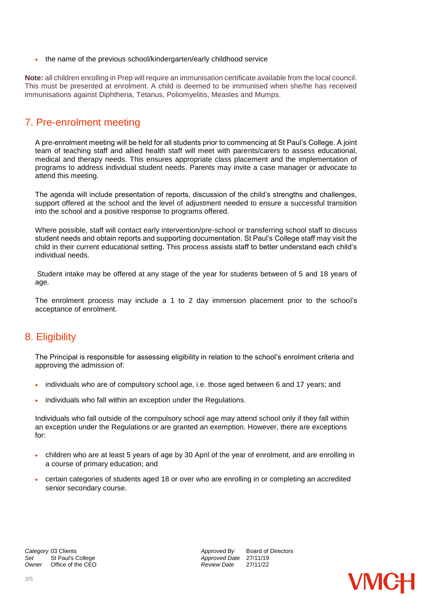the name of the previous school/kindergarten/early childhood service

**Note:** all children enrolling in Prep will require an immunisation certificate available from the local council. This must be presented at enrolment. A child is deemed to be immunised when she/he has received immunisations against Diphtheria, Tetanus, Poliomyelitis, Measles and Mumps.

### 7. Pre-enrolment meeting

A pre-enrolment meeting will be held for all students prior to commencing at St Paul's College. A joint team of teaching staff and allied health staff will meet with parents/carers to assess educational, medical and therapy needs. This ensures appropriate class placement and the implementation of programs to address individual student needs. Parents may invite a case manager or advocate to attend this meeting.

The agenda will include presentation of reports, discussion of the child's strengths and challenges, support offered at the school and the level of adjustment needed to ensure a successful transition into the school and a positive response to programs offered.

Where possible, staff will contact early intervention/pre-school or transferring school staff to discuss student needs and obtain reports and supporting documentation. St Paul's College staff may visit the child in their current educational setting. This process assists staff to better understand each child's individual needs.

Student intake may be offered at any stage of the year for students between of 5 and 18 years of age.

The enrolment process may include a 1 to 2 day immersion placement prior to the school's acceptance of enrolment.

### 8. Eligibility

The Principal is responsible for assessing eligibility in relation to the school's enrolment criteria and approving the admission of:

- individuals who are of compulsory school age, i.e. those aged between 6 and 17 years; and
- individuals who fall within an exception under the Regulations.

Individuals who fall outside of the compulsory school age may attend school only if they fall within an exception under the Regulations or are granted an exemption. However, there are exceptions for:

- children who are at least 5 years of age by 30 April of the year of enrolment, and are enrolling in a course of primary education; and
- certain categories of students aged 18 or over who are enrolling in or completing an accredited senior secondary course.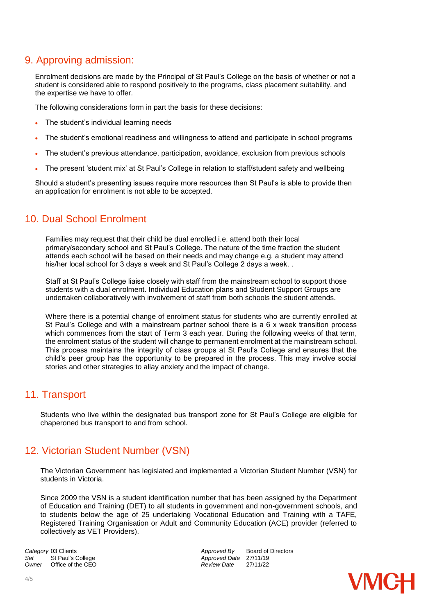# 9. Approving admission:

Enrolment decisions are made by the Principal of St Paul's College on the basis of whether or not a student is considered able to respond positively to the programs, class placement suitability, and the expertise we have to offer.

The following considerations form in part the basis for these decisions:

- The student's individual learning needs
- The student's emotional readiness and willingness to attend and participate in school programs
- The student's previous attendance, participation, avoidance, exclusion from previous schools
- The present 'student mix' at St Paul's College in relation to staff/student safety and wellbeing

Should a student's presenting issues require more resources than St Paul's is able to provide then an application for enrolment is not able to be accepted.

# 10. Dual School Enrolment

Families may request that their child be dual enrolled i.e. attend both their local primary/secondary school and St Paul's College. The nature of the time fraction the student attends each school will be based on their needs and may change e.g. a student may attend his/her local school for 3 days a week and St Paul's College 2 days a week..

Staff at St Paul's College liaise closely with staff from the mainstream school to support those students with a dual enrolment. Individual Education plans and Student Support Groups are undertaken collaboratively with involvement of staff from both schools the student attends.

Where there is a potential change of enrolment status for students who are currently enrolled at St Paul's College and with a mainstream partner school there is a 6 x week transition process which commences from the start of Term 3 each year. During the following weeks of that term, the enrolment status of the student will change to permanent enrolment at the mainstream school. This process maintains the integrity of class groups at St Paul's College and ensures that the child's peer group has the opportunity to be prepared in the process. This may involve social stories and other strategies to allay anxiety and the impact of change.

### 11. Transport

Students who live within the designated bus transport zone for St Paul's College are eligible for chaperoned bus transport to and from school.

### 12. Victorian Student Number (VSN)

The Victorian Government has legislated and implemented a Victorian Student Number (VSN) for students in Victoria.

Since 2009 the VSN is a student identification number that has been assigned by the Department of Education and Training (DET) to all students in government and non-government schools, and to students below the age of 25 undertaking Vocational Education and Training with a TAFE, Registered Training Organisation or Adult and Community Education (ACE) provider (referred to collectively as VET Providers).

**Category** 03 Clients *Category* 03 Clients *Approved By* Board of Directors *Approved By* Board of Directors Set St Paul's College *Set* Approved Date 27/11/19<br>
Owner Office of the CEO **Approved Date** 27/11/22 *Office of the CEO*